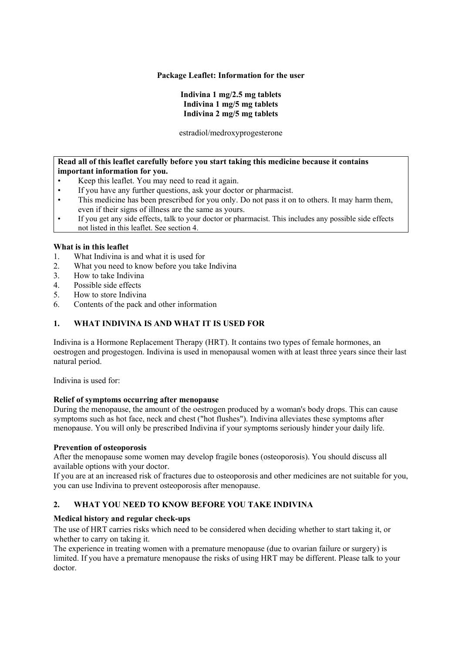### **Package Leaflet: Information for the user**

# **Indivina 1 mg/2.5 mg tablets Indivina 1 mg/5 mg tablets Indivina 2 mg/5 mg tablets**

estradiol/medroxyprogesterone

### **Read all of this leaflet carefully before you start taking this medicine because it contains important information for you.**

- Keep this leaflet. You may need to read it again.
- If you have any further questions, ask your doctor or pharmacist.
- This medicine has been prescribed for you only. Do not pass it on to others. It may harm them, even if their signs of illness are the same as yours.
- If you get any side effects, talk to your doctor or pharmacist. This includes any possible side effects not listed in this leaflet. See section 4.

# **What is in this leaflet**

- 1. What Indivina is and what it is used for
- 2. What you need to know before you take Indivina
- 3. How to take Indivina
- 4. Possible side effects
- 5. How to store Indivina
- 6. Contents of the pack and other information

# **1. WHAT INDIVINA IS AND WHAT IT IS USED FOR**

Indivina is a Hormone Replacement Therapy (HRT). It contains two types of female hormones, an oestrogen and progestogen. Indivina is used in menopausal women with at least three years since their last natural period.

Indivina is used for:

# **Relief of symptoms occurring after menopause**

During the menopause, the amount of the oestrogen produced by a woman's body drops. This can cause symptoms such as hot face, neck and chest ("hot flushes"). Indivina alleviates these symptoms after menopause. You will only be prescribed Indivina if your symptoms seriously hinder your daily life.

# **Prevention of osteoporosis**

After the menopause some women may develop fragile bones (osteoporosis). You should discuss all available options with your doctor.

If you are at an increased risk of fractures due to osteoporosis and other medicines are not suitable for you, you can use Indivina to prevent osteoporosis after menopause.

# **2. WHAT YOU NEED TO KNOW BEFORE YOU TAKE INDIVINA**

# **Medical history and regular check-ups**

The use of HRT carries risks which need to be considered when deciding whether to start taking it, or whether to carry on taking it.

The experience in treating women with a premature menopause (due to ovarian failure or surgery) is limited. If you have a premature menopause the risks of using HRT may be different. Please talk to your doctor.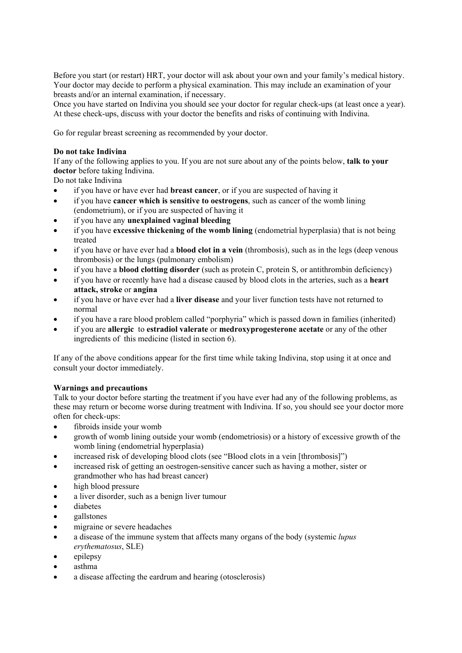Before you start (or restart) HRT, your doctor will ask about your own and your family's medical history. Your doctor may decide to perform a physical examination. This may include an examination of your breasts and/or an internal examination, if necessary.

Once you have started on Indivina you should see your doctor for regular check-ups (at least once a year). At these check-ups, discuss with your doctor the benefits and risks of continuing with Indivina.

Go for regular breast screening as recommended by your doctor.

### **Do not take Indivina**

If any of the following applies to you. If you are not sure about any of the points below, **talk to your doctor** before taking Indivina.

Do not take Indivina

- if you have or have ever had **breast cancer**, or if you are suspected of having it
- if you have **cancer which is sensitive to oestrogens**, such as cancer of the womb lining (endometrium), or if you are suspected of having it
- if you have any **unexplained vaginal bleeding**
- if you have **excessive thickening of the womb lining** (endometrial hyperplasia) that is not being treated
- if you have or have ever had a **blood clot in a vein** (thrombosis), such as in the legs (deep venous thrombosis) or the lungs (pulmonary embolism)
- if you have a **blood clotting disorder** (such as protein C, protein S, or antithrombin deficiency)
- if you have or recently have had a disease caused by blood clots in the arteries, such as a **heart attack, stroke** or **angina**
- if you have or have ever had a **liver disease** and your liver function tests have not returned to normal
- if you have a rare blood problem called "porphyria" which is passed down in families (inherited)
- if you are **allergic** to **estradiol valerate** or **medroxyprogesterone acetate** or any of the other ingredients of this medicine (listed in section 6).

If any of the above conditions appear for the first time while taking Indivina, stop using it at once and consult your doctor immediately.

# **Warnings and precautions**

Talk to your doctor before starting the treatment if you have ever had any of the following problems, as these may return or become worse during treatment with Indivina. If so, you should see your doctor more often for check-ups:

- fibroids inside your womb
- growth of womb lining outside your womb (endometriosis) or a history of excessive growth of the womb lining (endometrial hyperplasia)
- increased risk of developing blood clots (see "Blood clots in a vein [thrombosis]")
- increased risk of getting an oestrogen-sensitive cancer such as having a mother, sister or grandmother who has had breast cancer)
- high blood pressure
- a liver disorder, such as a benign liver tumour
- diabetes
- gallstones
- migraine or severe headaches
- a disease of the immune system that affects many organs of the body (systemic *lupus erythematosus*, SLE)
- epilepsy
- asthma
- a disease affecting the eardrum and hearing (otosclerosis)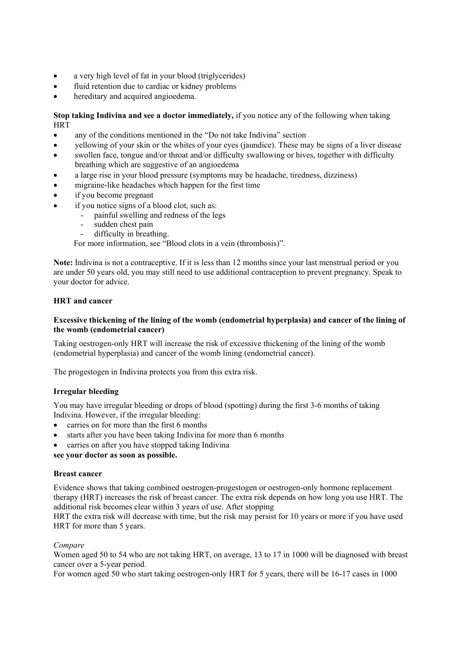- a very high level of fat in your blood (triglycerides)
- fluid retention due to cardiac or kidney problems
- hereditary and acquired angioedema.

**Stop taking Indivina and see a doctor immediately,** if you notice any of the following when taking **HRT** 

- any of the conditions mentioned in the "Do not take Indivina" section
- yellowing of your skin or the whites of your eyes (jaundice). These may be signs of a liver disease
- swollen face, tongue and/or throat and/or difficulty swallowing or hives, together with difficulty breathing which are suggestive of an angioedema
- a large rise in your blood pressure (symptoms may be headache, tiredness, dizziness)
- migraine-like headaches which happen for the first time
- if you become pregnant
- if you notice signs of a blood clot, such as:
	- painful swelling and redness of the legs
	- sudden chest pain
	- difficulty in breathing.

For more information, see "Blood clots in a vein (thrombosis)".

**Note:** Indivina is not a contraceptive. If it is less than 12 months since your last menstrual period or you are under 50 years old, you may still need to use additional contraception to prevent pregnancy. Speak to your doctor for advice.

# **HRT and cancer**

### **Excessive thickening of the lining of the womb (endometrial hyperplasia) and cancer of the lining of the womb (endometrial cancer)**

Taking oestrogen-only HRT will increase the risk of excessive thickening of the lining of the womb (endometrial hyperplasia) and cancer of the womb lining (endometrial cancer).

The progestogen in Indivina protects you from this extra risk.

# **Irregular bleeding**

You may have irregular bleeding or drops of blood (spotting) during the first 3-6 months of taking Indivina. However, if the irregular bleeding:

- carries on for more than the first 6 months
- starts after you have been taking Indivina for more than 6 months
- carries on after you have stopped taking Indivina

**see your doctor as soon as possible.** 

#### **Breast cancer**

Evidence shows that taking combined oestrogen-progestogen or oestrogen-only hormone replacement therapy (HRT) increases the risk of breast cancer. The extra risk depends on how long you use HRT. The additional risk becomes clear within 3 years of use. After stopping

HRT the extra risk will decrease with time, but the risk may persist for 10 years or more if you have used HRT for more than 5 years.

# *Compare*

Women aged 50 to 54 who are not taking HRT, on average, 13 to 17 in 1000 will be diagnosed with breast cancer over a 5-year period.

For women aged 50 who start taking oestrogen-only HRT for 5 years, there will be 16-17 cases in 1000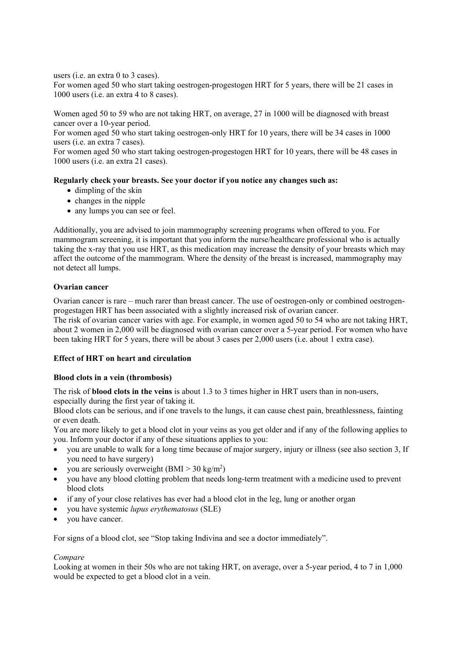users (i.e. an extra 0 to 3 cases).

For women aged 50 who start taking oestrogen-progestogen HRT for 5 years, there will be 21 cases in 1000 users (i.e. an extra 4 to 8 cases).

Women aged 50 to 59 who are not taking HRT, on average, 27 in 1000 will be diagnosed with breast cancer over a 10-year period.

For women aged 50 who start taking oestrogen-only HRT for 10 years, there will be 34 cases in 1000 users (i.e. an extra 7 cases).

For women aged 50 who start taking oestrogen-progestogen HRT for 10 years, there will be 48 cases in 1000 users (i.e. an extra 21 cases).

### **Regularly check your breasts. See your doctor if you notice any changes such as:**

- dimpling of the skin
- $\bullet$  changes in the nipple
- any lumps you can see or feel.

Additionally, you are advised to join mammography screening programs when offered to you. For mammogram screening, it is important that you inform the nurse/healthcare professional who is actually taking the x-ray that you use HRT, as this medication may increase the density of your breasts which may affect the outcome of the mammogram. Where the density of the breast is increased, mammography may not detect all lumps.

### **Ovarian cancer**

Ovarian cancer is rare – much rarer than breast cancer. The use of oestrogen-only or combined oestrogenprogestagen HRT has been associated with a slightly increased risk of ovarian cancer. The risk of ovarian cancer varies with age. For example, in women aged 50 to 54 who are not taking HRT, about 2 women in 2,000 will be diagnosed with ovarian cancer over a 5-year period. For women who have been taking HRT for 5 years, there will be about 3 cases per 2,000 users (i.e. about 1 extra case).

# **Effect of HRT on heart and circulation**

#### **Blood clots in a vein (thrombosis)**

The risk of **blood clots in the veins** is about 1.3 to 3 times higher in HRT users than in non-users, especially during the first year of taking it.

Blood clots can be serious, and if one travels to the lungs, it can cause chest pain, breathlessness, fainting or even death.

You are more likely to get a blood clot in your veins as you get older and if any of the following applies to you. Inform your doctor if any of these situations applies to you:

- you are unable to walk for a long time because of major surgery, injury or illness (see also section 3, If you need to have surgery)
- you are seriously overweight  $(BMI > 30 \text{ kg/m}^2)$
- you have any blood clotting problem that needs long-term treatment with a medicine used to prevent blood clots
- if any of your close relatives has ever had a blood clot in the leg, lung or another organ
- you have systemic *lupus erythematosus* (SLE)
- you have cancer.

For signs of a blood clot, see "Stop taking Indivina and see a doctor immediately".

# *Compare*

Looking at women in their 50s who are not taking HRT, on average, over a 5-year period, 4 to 7 in 1,000 would be expected to get a blood clot in a vein.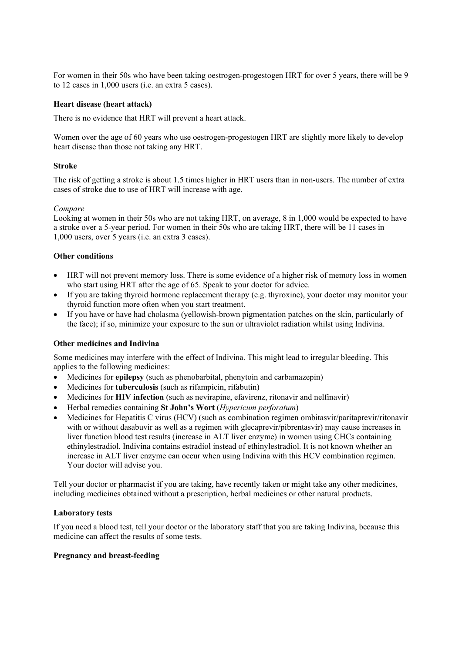For women in their 50s who have been taking oestrogen-progestogen HRT for over 5 years, there will be 9 to 12 cases in 1,000 users (i.e. an extra 5 cases).

### **Heart disease (heart attack)**

There is no evidence that HRT will prevent a heart attack.

Women over the age of 60 years who use oestrogen-progestogen HRT are slightly more likely to develop heart disease than those not taking any HRT.

### **Stroke**

The risk of getting a stroke is about 1.5 times higher in HRT users than in non-users. The number of extra cases of stroke due to use of HRT will increase with age.

#### *Compare*

Looking at women in their 50s who are not taking HRT, on average, 8 in 1,000 would be expected to have a stroke over a 5-year period. For women in their 50s who are taking HRT, there will be 11 cases in 1,000 users, over 5 years (i.e. an extra 3 cases).

### **Other conditions**

- HRT will not prevent memory loss. There is some evidence of a higher risk of memory loss in women who start using HRT after the age of 65. Speak to your doctor for advice.
- If you are taking thyroid hormone replacement therapy (e.g. thyroxine), your doctor may monitor your thyroid function more often when you start treatment.
- If you have or have had cholasma (yellowish-brown pigmentation patches on the skin, particularly of the face); if so, minimize your exposure to the sun or ultraviolet radiation whilst using Indivina.

#### **Other medicines and Indivina**

Some medicines may interfere with the effect of Indivina. This might lead to irregular bleeding. This applies to the following medicines:

- Medicines for **epilepsy** (such as phenobarbital, phenytoin and carbamazepin)
- Medicines for **tuberculosis** (such as rifampicin, rifabutin)
- Medicines for **HIV infection** (such as nevirapine, efavirenz, ritonavir and nelfinavir)
- Herbal remedies containing **St John's Wort** (*Hypericum perforatum*)
- Medicines for Hepatitis C virus (HCV) (such as combination regimen ombitasvir/paritaprevir/ritonavir with or without dasabuvir as well as a regimen with glecaprevir/pibrentasvir) may cause increases in liver function blood test results (increase in ALT liver enzyme) in women using CHCs containing ethinylestradiol. Indivina contains estradiol instead of ethinylestradiol. It is not known whether an increase in ALT liver enzyme can occur when using Indivina with this HCV combination regimen. Your doctor will advise you.

Tell your doctor or pharmacist if you are taking, have recently taken or might take any other medicines, including medicines obtained without a prescription, herbal medicines or other natural products.

#### **Laboratory tests**

If you need a blood test, tell your doctor or the laboratory staff that you are taking Indivina, because this medicine can affect the results of some tests.

### **Pregnancy and breast-feeding**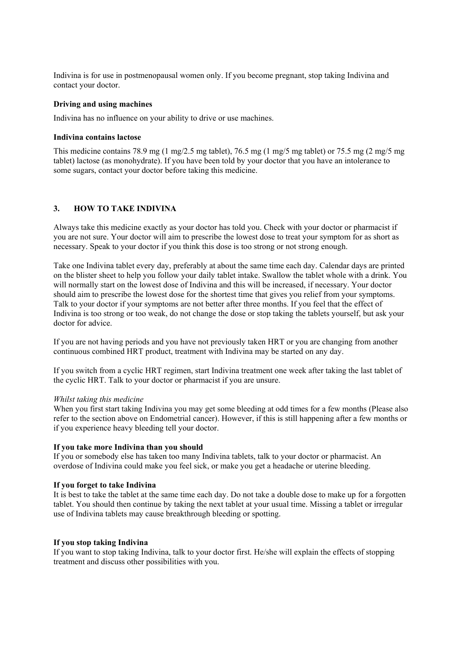Indivina is for use in postmenopausal women only. If you become pregnant, stop taking Indivina and contact your doctor.

### **Driving and using machines**

Indivina has no influence on your ability to drive or use machines.

### **Indivina contains lactose**

This medicine contains 78.9 mg (1 mg/2.5 mg tablet), 76.5 mg (1 mg/5 mg tablet) or 75.5 mg (2 mg/5 mg tablet) lactose (as monohydrate). If you have been told by your doctor that you have an intolerance to some sugars, contact your doctor before taking this medicine.

# **3. HOW TO TAKE INDIVINA**

Always take this medicine exactly as your doctor has told you. Check with your doctor or pharmacist if you are not sure. Your doctor will aim to prescribe the lowest dose to treat your symptom for as short as necessary. Speak to your doctor if you think this dose is too strong or not strong enough.

Take one Indivina tablet every day, preferably at about the same time each day. Calendar days are printed on the blister sheet to help you follow your daily tablet intake. Swallow the tablet whole with a drink. You will normally start on the lowest dose of Indivina and this will be increased, if necessary. Your doctor should aim to prescribe the lowest dose for the shortest time that gives you relief from your symptoms. Talk to your doctor if your symptoms are not better after three months. If you feel that the effect of Indivina is too strong or too weak, do not change the dose or stop taking the tablets yourself, but ask your doctor for advice.

If you are not having periods and you have not previously taken HRT or you are changing from another continuous combined HRT product, treatment with Indivina may be started on any day.

If you switch from a cyclic HRT regimen, start Indivina treatment one week after taking the last tablet of the cyclic HRT. Talk to your doctor or pharmacist if you are unsure.

#### *Whilst taking this medicine*

When you first start taking Indivina you may get some bleeding at odd times for a few months (Please also refer to the section above on Endometrial cancer). However, if this is still happening after a few months or if you experience heavy bleeding tell your doctor.

# **If you take more Indivina than you should**

If you or somebody else has taken too many Indivina tablets, talk to your doctor or pharmacist. An overdose of Indivina could make you feel sick, or make you get a headache or uterine bleeding.

# **If you forget to take Indivina**

It is best to take the tablet at the same time each day. Do not take a double dose to make up for a forgotten tablet. You should then continue by taking the next tablet at your usual time. Missing a tablet or irregular use of Indivina tablets may cause breakthrough bleeding or spotting.

#### **If you stop taking Indivina**

If you want to stop taking Indivina, talk to your doctor first. He/she will explain the effects of stopping treatment and discuss other possibilities with you.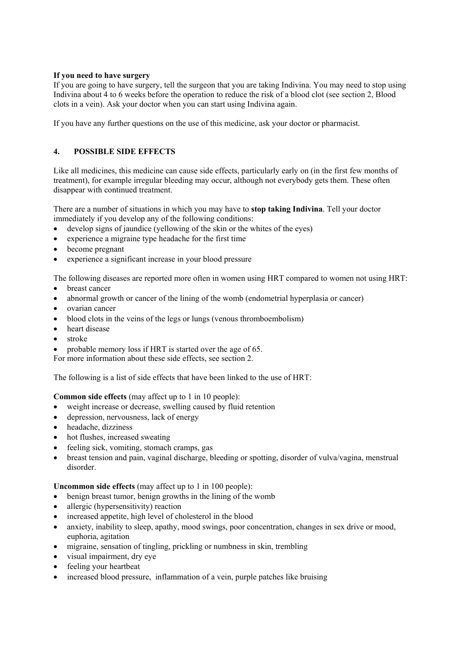# **If you need to have surgery**

If you are going to have surgery, tell the surgeon that you are taking Indivina. You may need to stop using Indivina about 4 to 6 weeks before the operation to reduce the risk of a blood clot (see section 2, Blood clots in a vein). Ask your doctor when you can start using Indivina again.

If you have any further questions on the use of this medicine, ask your doctor or pharmacist.

# **4. POSSIBLE SIDE EFFECTS**

Like all medicines, this medicine can cause side effects, particularly early on (in the first few months of treatment), for example irregular bleeding may occur, although not everybody gets them. These often disappear with continued treatment.

There are a number of situations in which you may have to **stop taking Indivina**. Tell your doctor immediately if you develop any of the following conditions:

- develop signs of jaundice (yellowing of the skin or the whites of the eyes)
- experience a migraine type headache for the first time
- become pregnant
- experience a significant increase in your blood pressure

The following diseases are reported more often in women using HRT compared to women not using HRT:

- breast cancer
- abnormal growth or cancer of the lining of the womb (endometrial hyperplasia or cancer)
- ovarian cancer
- blood clots in the veins of the legs or lungs (venous thromboembolism)
- heart disease
- stroke
- probable memory loss if HRT is started over the age of 65.

For more information about these side effects, see section 2.

The following is a list of side effects that have been linked to the use of HRT:

**Common side effects** (may affect up to 1 in 10 people):

- weight increase or decrease, swelling caused by fluid retention
- depression, nervousness, lack of energy
- headache, dizziness
- hot flushes, increased sweating
- feeling sick, vomiting, stomach cramps, gas
- breast tension and pain, vaginal discharge, bleeding or spotting, disorder of vulva/vagina, menstrual disorder.

**Uncommon side effects** (may affect up to 1 in 100 people):

- benign breast tumor, benign growths in the lining of the womb
- allergic (hypersensitivity) reaction
- increased appetite, high level of cholesterol in the blood
- anxiety, inability to sleep, apathy, mood swings, poor concentration, changes in sex drive or mood, euphoria, agitation
- migraine, sensation of tingling, prickling or numbness in skin, trembling
- visual impairment, dry eye
- feeling your heartbeat
- increased blood pressure, inflammation of a vein, purple patches like bruising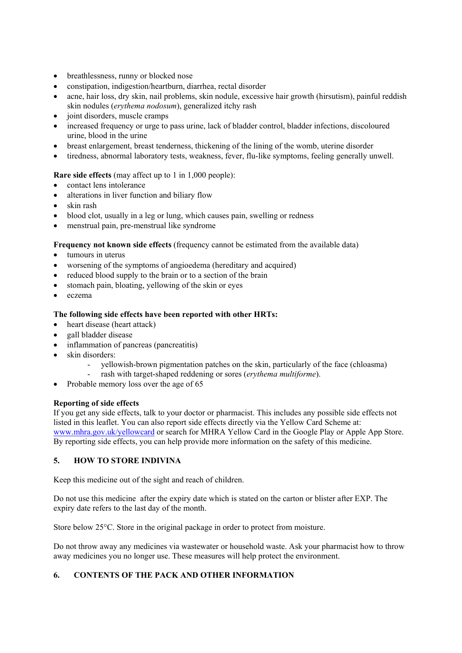- breathlessness, runny or blocked nose
- constipation, indigestion/heartburn, diarrhea, rectal disorder
- acne, hair loss, dry skin, nail problems, skin nodule, excessive hair growth (hirsutism), painful reddish skin nodules (*erythema nodosum*), generalized itchy rash
- joint disorders, muscle cramps
- increased frequency or urge to pass urine, lack of bladder control, bladder infections, discoloured urine, blood in the urine
- breast enlargement, breast tenderness, thickening of the lining of the womb, uterine disorder
- tiredness, abnormal laboratory tests, weakness, fever, flu-like symptoms, feeling generally unwell.

# **Rare side effects** (may affect up to 1 in 1,000 people):

- contact lens intolerance
- alterations in liver function and biliary flow
- skin rash
- blood clot, usually in a leg or lung, which causes pain, swelling or redness
- menstrual pain, pre-menstrual like syndrome

**Frequency not known side effects** (frequency cannot be estimated from the available data)

- tumours in uterus
- worsening of the symptoms of angioedema (hereditary and acquired)
- reduced blood supply to the brain or to a section of the brain
- stomach pain, bloating, yellowing of the skin or eyes
- eczema

# **The following side effects have been reported with other HRTs:**

- heart disease (heart attack)
- gall bladder disease
- inflammation of pancreas (pancreatitis)
- skin disorders:
	- yellowish-brown pigmentation patches on the skin, particularly of the face (chloasma)
	- rash with target-shaped reddening or sores (*erythema multiforme*).
- Probable memory loss over the age of 65

# **Reporting of side effects**

If you get any side effects, talk to your doctor or pharmacist. This includes any possible side effects not listed in this leaflet. You can also report side effects directly via the Yellow Card Scheme at: www.mhra.gov.uk/yellowcard or search for MHRA Yellow Card in the Google Play or Apple App Store. By reporting side effects, you can help provide more information on the safety of this medicine.

# **5. HOW TO STORE INDIVINA**

Keep this medicine out of the sight and reach of children.

Do not use this medicine after the expiry date which is stated on the carton or blister after EXP. The expiry date refers to the last day of the month.

Store below 25°C. Store in the original package in order to protect from moisture.

Do not throw away any medicines via wastewater or household waste. Ask your pharmacist how to throw away medicines you no longer use. These measures will help protect the environment.

# **6. CONTENTS OF THE PACK AND OTHER INFORMATION**